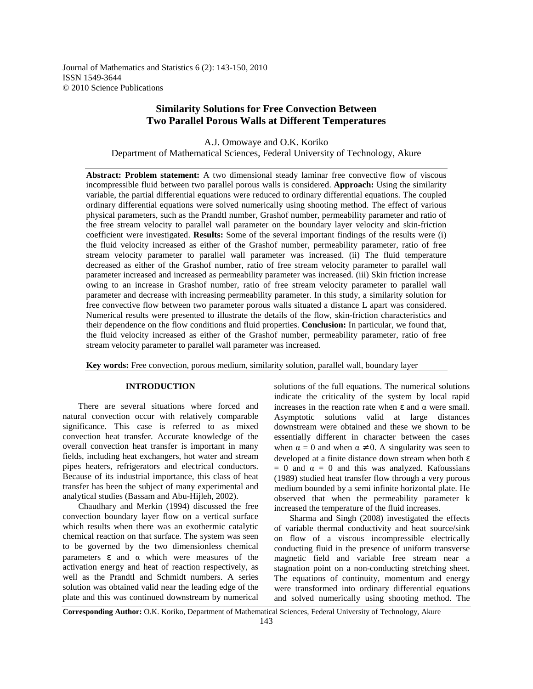Journal of Mathematics and Statistics 6 (2): 143-150, 2010 ISSN 1549-3644 © 2010 Science Publications

# **Similarity Solutions for Free Convection Between Two Parallel Porous Walls at Different Temperatures**

A.J. Omowaye and O.K. Koriko Department of Mathematical Sciences, Federal University of Technology, Akure

**Abstract: Problem statement:** A two dimensional steady laminar free convective flow of viscous incompressible fluid between two parallel porous walls is considered. **Approach:** Using the similarity variable, the partial differential equations were reduced to ordinary differential equations. The coupled ordinary differential equations were solved numerically using shooting method. The effect of various physical parameters, such as the Prandtl number, Grashof number, permeability parameter and ratio of the free stream velocity to parallel wall parameter on the boundary layer velocity and skin-friction coefficient were investigated. **Results:** Some of the several important findings of the results were (i) the fluid velocity increased as either of the Grashof number, permeability parameter, ratio of free stream velocity parameter to parallel wall parameter was increased. (ii) The fluid temperature decreased as either of the Grashof number, ratio of free stream velocity parameter to parallel wall parameter increased and increased as permeability parameter was increased. (iii) Skin friction increase owing to an increase in Grashof number, ratio of free stream velocity parameter to parallel wall parameter and decrease with increasing permeability parameter. In this study, a similarity solution for free convective flow between two parameter porous walls situated a distance L apart was considered. Numerical results were presented to illustrate the details of the flow, skin-friction characteristics and their dependence on the flow conditions and fluid properties. **Conclusion:** In particular, we found that, the fluid velocity increased as either of the Grashof number, permeability parameter, ratio of free stream velocity parameter to parallel wall parameter was increased.

**Key words:** Free convection, porous medium, similarity solution, parallel wall, boundary layer

### **INTRODUCTION**

 There are several situations where forced and natural convection occur with relatively comparable significance. This case is referred to as mixed convection heat transfer. Accurate knowledge of the overall convection heat transfer is important in many fields, including heat exchangers, hot water and stream pipes heaters, refrigerators and electrical conductors. Because of its industrial importance, this class of heat transfer has been the subject of many experimental and analytical studies (Bassam and Abu-Hijleh, 2002).

 Chaudhary and Merkin (1994) discussed the free convection boundary layer flow on a vertical surface which results when there was an exothermic catalytic chemical reaction on that surface. The system was seen to be governed by the two dimensionless chemical parameters ε and α which were measures of the activation energy and heat of reaction respectively, as well as the Prandtl and Schmidt numbers. A series solution was obtained valid near the leading edge of the plate and this was continued downstream by numerical

solutions of the full equations. The numerical solutions indicate the criticality of the system by local rapid increases in the reaction rate when ε and α were small. Asymptotic solutions valid at large distances downstream were obtained and these we shown to be essentially different in character between the cases when  $\alpha = 0$  and when  $\alpha \neq 0$ . A singularity was seen to developed at a finite distance down stream when both ε  $= 0$  and  $\alpha = 0$  and this was analyzed. Kafoussians (1989) studied heat transfer flow through a very porous medium bounded by a semi infinite horizontal plate. He observed that when the permeability parameter k increased the temperature of the fluid increases.

 Sharma and Singh (2008) investigated the effects of variable thermal conductivity and heat source/sink on flow of a viscous incompressible electrically conducting fluid in the presence of uniform transverse magnetic field and variable free stream near a stagnation point on a non-conducting stretching sheet. The equations of continuity, momentum and energy were transformed into ordinary differential equations and solved numerically using shooting method. The

**Corresponding Author:** O.K. Koriko, Department of Mathematical Sciences, Federal University of Technology, Akure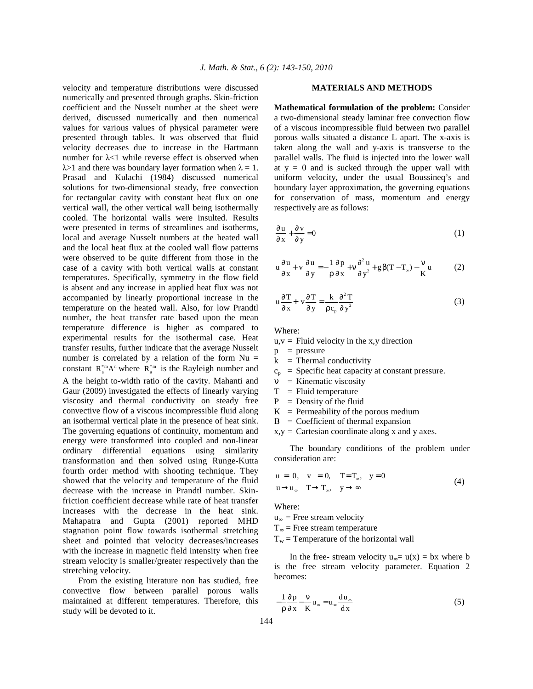velocity and temperature distributions were discussed numerically and presented through graphs. Skin-friction coefficient and the Nusselt number at the sheet were derived, discussed numerically and then numerical values for various values of physical parameter were presented through tables. It was observed that fluid velocity decreases due to increase in the Hartmann number for λ<1 while reverse effect is observed when  $\lambda$ >1 and there was boundary layer formation when  $\lambda = 1$ . Prasad and Kulachi (1984) discussed numerical solutions for two-dimensional steady, free convection for rectangular cavity with constant heat flux on one vertical wall, the other vertical wall being isothermally cooled. The horizontal walls were insulted. Results were presented in terms of streamlines and isotherms, local and average Nusselt numbers at the heated wall and the local heat flux at the cooled wall flow patterns were observed to be quite different from those in the case of a cavity with both vertical walls at constant temperatures. Specifically, symmetry in the flow field is absent and any increase in applied heat flux was not accompanied by linearly proportional increase in the temperature on the heated wall. Also, for low Prandtl number, the heat transfer rate based upon the mean temperature difference is higher as compared to experimental results for the isothermal case. Heat transfer results, further indicate that the average Nusselt number is correlated by a relation of the form  $Nu =$ constant  $R_a^*^{m}A^n$  where  $R_a^*^{m}$  is the Rayleigh number and A the height to-width ratio of the cavity. Mahanti and Gaur (2009) investigated the effects of linearly varying viscosity and thermal conductivity on steady free convective flow of a viscous incompressible fluid along an isothermal vertical plate in the presence of heat sink. The governing equations of continuity, momentum and energy were transformed into coupled and non-linear ordinary differential equations using similarity transformation and then solved using Runge-Kutta fourth order method with shooting technique. They showed that the velocity and temperature of the fluid decrease with the increase in Prandtl number. Skinfriction coefficient decrease while rate of heat transfer increases with the decrease in the heat sink. Mahapatra and Gupta (2001) reported MHD stagnation point flow towards isothermal stretching sheet and pointed that velocity decreases/increases with the increase in magnetic field intensity when free stream velocity is smaller/greater respectively than the stretching velocity.

 From the existing literature non has studied, free convective flow between parallel porous walls maintained at different temperatures. Therefore, this study will be devoted to it.

#### **MATERIALS AND METHODS**

**Mathematical formulation of the problem:** Consider a two-dimensional steady laminar free convection flow of a viscous incompressible fluid between two parallel porous walls situated a distance L apart. The x-axis is taken along the wall and y-axis is transverse to the parallel walls. The fluid is injected into the lower wall at  $y = 0$  and is sucked through the upper wall with uniform velocity, under the usual Boussineq's and boundary layer approximation, the governing equations for conservation of mass, momentum and energy respectively are as follows:

$$
\frac{\partial u}{\partial x} + \frac{\partial v}{\partial y} = 0 \tag{1}
$$

$$
u\frac{\partial u}{\partial x} + v\frac{\partial u}{\partial y} = -\frac{1}{\rho}\frac{\partial p}{\partial x} + v\frac{\partial^2 u}{\partial y^2} + g\beta(T - T_{\infty}) - \frac{v}{K}u \tag{2}
$$

$$
u\frac{\partial T}{\partial x} + v\frac{\partial T}{\partial y} = \frac{k}{\rho c_p} \frac{\partial^2 T}{\partial y^2}
$$
 (3)

Where:

 $u, v =$  Fluid velocity in the x,y direction

 $p = pressure$ 

- $k =$ Thermal conductivity
- $c_p$  = Specific heat capacity at constant pressure.
- $v =$ Kinematic viscosity
- $T =$  Fluid temperature
- Ρ = Density of the fluid
- $K$  = Permeability of the porous medium
- Β = Coefficient of thermal expansion
- $x,y =$  Cartesian coordinate along x and y axes.

 The boundary conditions of the problem under consideration are:

$$
u = 0, v = 0, T=T_{\infty}, y=0
$$
  
\n
$$
u \rightarrow u_{\infty} T \rightarrow T_{\infty}, y \rightarrow \infty
$$
\n(4)

Where:

 $u_{\infty}$  = Free stream velocity

 $T_{\infty}$  = Free stream temperature

 $T_w$  = Temperature of the horizontal wall

In the free- stream velocity  $u_{\infty} = u(x) = bx$  where b is the free stream velocity parameter. Equation 2 becomes:

$$
-\frac{1}{\rho}\frac{\partial p}{\partial x} - \frac{v}{K}u_{\infty} = u_{\infty}\frac{du_{\infty}}{dx}
$$
 (5)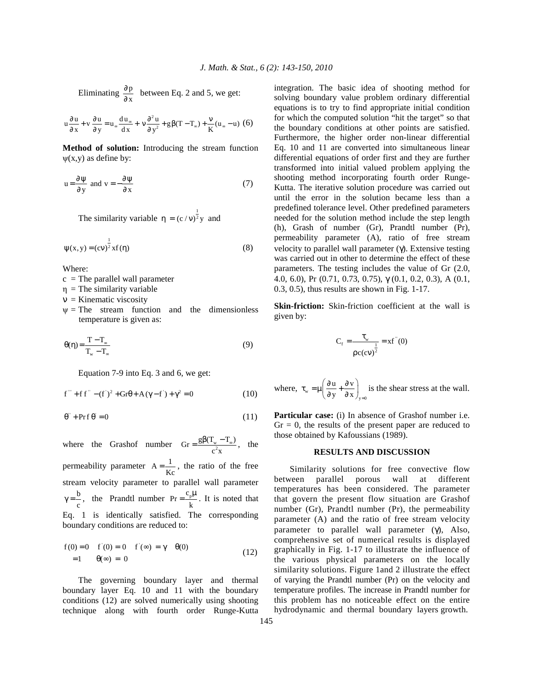Eliminating  $\frac{\partial \mathbf{p}}{\partial \mathbf{x}}$ ∂  $\frac{\partial P}{\partial x}$  between Eq. 2 and 5, we get:

$$
u\frac{\partial u}{\partial x} + v\frac{\partial u}{\partial y} = u_{\infty}\frac{du_{\infty}}{dx} + v\frac{\partial^2 u}{\partial y^2} + g\beta(T - T_{\infty}) + \frac{v}{K}(u_{\infty} - u) \tag{6}
$$

**Method of solution:** Introducing the stream function  $\psi(x,y)$  as define by:

$$
u = \frac{\partial \psi}{\partial y} \text{ and } v = -\frac{\partial \psi}{\partial x} \tag{7}
$$

The similarity variable  $\eta = (c/v)^{\frac{1}{2}}y$  and

$$
\psi(x, y) = (cv)^{\frac{1}{2}} x f(\eta)
$$
\n(8)

Where:

 $c =$ The parallel wall parameter

 $\eta$  = The similarity variable

 $v =$ Kinematic viscosity

 $\Psi$  = The stream function and the dimensionless temperature is given as:

$$
\theta(\eta) = \frac{T - T_{\infty}}{T_{\infty} - T_{\infty}}\tag{9}
$$

Equation 7-9 into Eq. 3 and 6, we get:

$$
f''' + ff'' - (f')^{2} + Gr\theta + A(\gamma - f') + \gamma^{2} = 0
$$
 (10)

$$
\theta^{\prime\prime} + \Pr f \theta = 0 \tag{11}
$$

where the Grashof number  $\text{Gr} = \frac{g\beta(T_w - T_\infty)}{c^2x}$ , the permeability parameter  $A = \frac{1}{Kc}$ , the ratio of the free stream velocity parameter to parallel wall parameter b  $\gamma = \frac{b}{c}$ , the Prandtl number Pr =  $\frac{c_{p}}{k}$  $=\frac{c_p\mu}{l}$ . It is noted that Eq. 1 is identically satisfied. The corresponding boundary conditions are reduced to:

$$
f(0) = 0 \quad f'(0) = 0 \quad f'(\infty) = \gamma \quad \theta(0)
$$
  
= 1 \quad \theta(\infty) = 0 \tag{12}

 The governing boundary layer and thermal boundary layer Eq. 10 and 11 with the boundary conditions (12) are solved numerically using shooting technique along with fourth order Runge-Kutta integration. The basic idea of shooting method for solving boundary value problem ordinary differential equations is to try to find appropriate initial condition for which the computed solution "hit the target" so that the boundary conditions at other points are satisfied. Furthermore, the higher order non-linear differential Eq. 10 and 11 are converted into simultaneous linear differential equations of order first and they are further transformed into initial valued problem applying the shooting method incorporating fourth order Runge-Kutta. The iterative solution procedure was carried out until the error in the solution became less than a predefined tolerance level. Other predefined parameters needed for the solution method include the step length (h), Grash of number (Gr), Prandtl number (Pr), permeability parameter (A), ratio of free stream velocity to parallel wall parameter  $(γ)$ . Extensive testing was carried out in other to determine the effect of these parameters. The testing includes the value of Gr (2.0, 4.0, 6.0), Pr (0.71, 0.73, 0.75), γ (0.1, 0.2, 0.3), A (0.1, 0.3, 0.5), thus results are shown in Fig. 1-17.

**Skin-friction:** Skin-friction coefficient at the wall is given by:

$$
C_f = \frac{\tau_w}{\rho c (cv)^{\frac{1}{2}}} = xf''(0)
$$

where, 
$$
\tau_w = \mu \left( \frac{\partial u}{\partial y} + \frac{\partial v}{\partial x} \right)_{y=0}
$$
 is the shear stress at the wall.

**Particular case:** (i) In absence of Grashof number i.e.  $Gr = 0$ , the results of the present paper are reduced to those obtained by Kafoussians (1989).

#### **RESULTS AND DISCUSSION**

 Similarity solutions for free convective flow between parallel porous wall at different temperatures has been considered. The parameter that govern the present flow situation are Grashof number (Gr), Prandtl number (Pr), the permeability parameter (A) and the ratio of free stream velocity parameter to parallel wall parameter (γ), Also, comprehensive set of numerical results is displayed graphically in Fig. 1-17 to illustrate the influence of the various physical parameters on the locally similarity solutions. Figure 1and 2 illustrate the effect of varying the Prandtl number (Pr) on the velocity and temperature profiles. The increase in Prandtl number for this problem has no noticeable effect on the entire hydrodynamic and thermal boundary layers growth.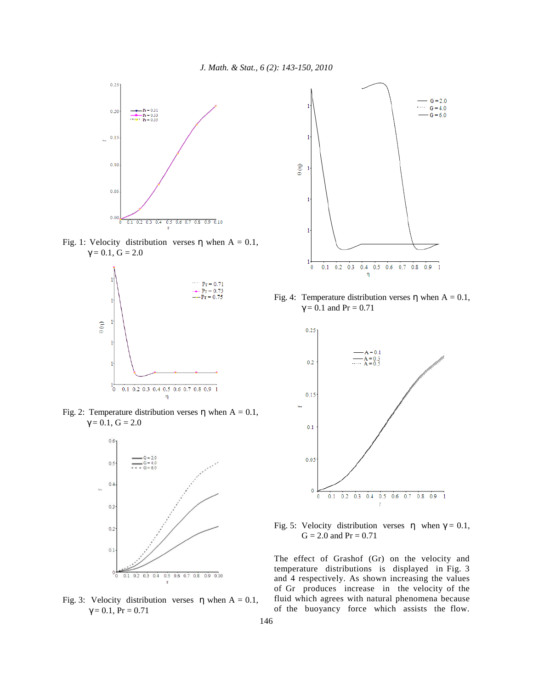

Fig. 1: Velocity distribution verses  $\eta$  when A = 0.1,  $\gamma = 0.1, G = 2.0$ 



Fig. 2: Temperature distribution verses  $\eta$  when A = 0.1,  $\gamma = 0.1, G = 2.0$ 



Fig. 3: Velocity distribution verses  $\eta$  when A = 0.1,  $\gamma = 0.1$ , Pr = 0.71



Fig. 4: Temperature distribution verses  $\eta$  when A = 0.1,  $γ = 0.1$  and  $Pr = 0.71$ 



Fig. 5: Velocity distribution verses  $η$  when  $γ = 0.1$ ,  $G = 2.0$  and  $Pr = 0.71$ 

The effect of Grashof (Gr) on the velocity and temperature distributions is displayed in Fig. 3 and 4 respectively. As shown increasing the values of Gr produces increase in the velocity of the fluid which agrees with natural phenomena because of the buoyancy force which assists the flow.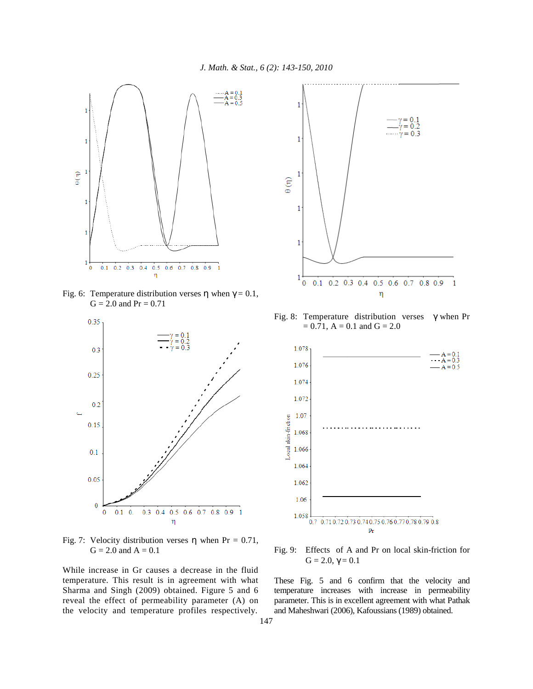

Fig. 6: Temperature distribution verses η when  $γ = 0.1$ ,  $G = 2.0$  and  $Pr = 0.71$ 



Fig. 7: Velocity distribution verses  $\eta$  when Pr = 0.71,  $G = 2.0$  and  $A = 0.1$ 

While increase in Gr causes a decrease in the fluid temperature. This result is in agreement with what Sharma and Singh (2009) obtained. Figure 5 and 6 reveal the effect of permeability parameter (A) on the velocity and temperature profiles respectively.



Fig. 8: Temperature distribution verses  $\gamma$  when Pr  $= 0.71$ , A  $= 0.1$  and G  $= 2.0$ 



Fig. 9: Effects of A and Pr on local skin-friction for  $G = 2.0, \gamma = 0.1$ 

These Fig. 5 and 6 confirm that the velocity and temperature increases with increase in permeability parameter. This is in excellent agreement with what Pathak and Maheshwari (2006), Kafoussians (1989) obtained.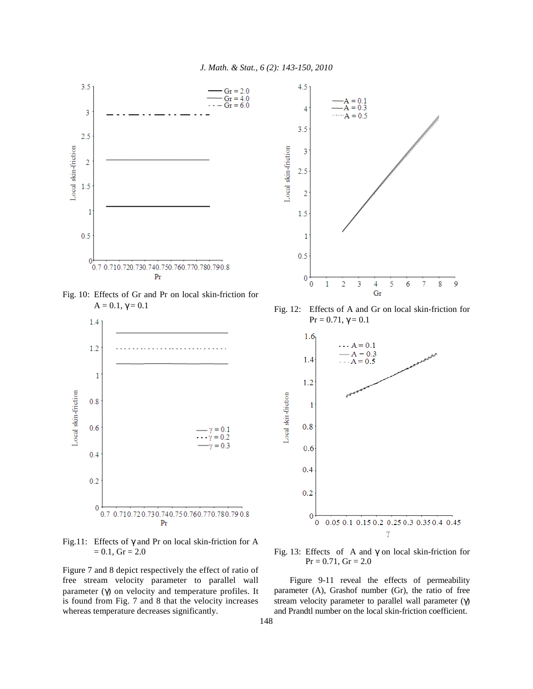

Fig. 10: Effects of Gr and Pr on local skin-friction for  $A = 0.1, \gamma = 0.1$ 



Fig.11: Effects of  $\gamma$  and Pr on local skin-friction for A  $= 0.1,$  Gr  $= 2.0$ 

Figure 7 and 8 depict respectively the effect of ratio of free stream velocity parameter to parallel wall parameter (γ) on velocity and temperature profiles. It is found from Fig. 7 and 8 that the velocity increases whereas temperature decreases significantly.



Fig. 12: Effects of A and Gr on local skin-friction for  $Pr = 0.71, γ = 0.1$ 



Fig. 13: Effects of A and γ on local skin-friction for  $Pr = 0.71$ ,  $Gr = 2.0$ 

 Figure 9-11 reveal the effects of permeability parameter (A), Grashof number (Gr), the ratio of free stream velocity parameter to parallel wall parameter  $(γ)$ and Prandtl number on the local skin-friction coefficient.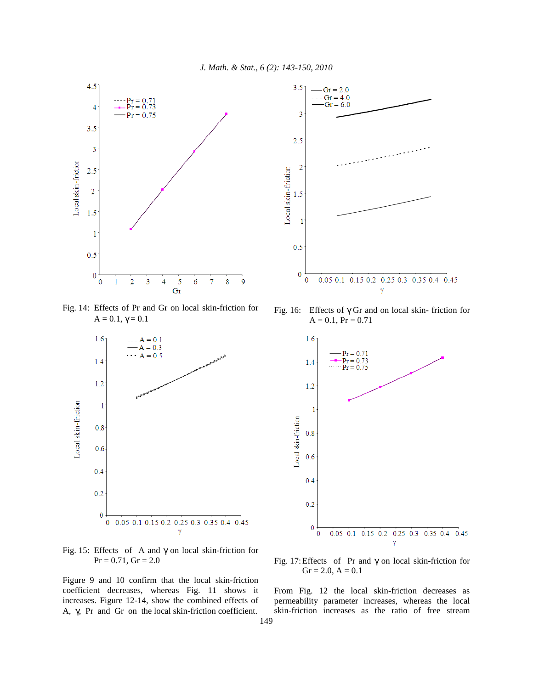

Fig. 14: Effects of Pr and Gr on local skin-friction for  $A = 0.1, \gamma = 0.1$ 



Fig. 15: Effects of A and  $\gamma$  on local skin-friction for  $Pr = 0.71$ ,  $Gr = 2.0$ 

Figure 9 and 10 confirm that the local skin-friction coefficient decreases, whereas Fig. 11 shows it increases. Figure 12-14, show the combined effects of A, γ, Pr and Gr on the local skin-friction coefficient.



Fig. 16: Effects of γ Gr and on local skin- friction for  $A = 0.1$ ,  $Pr = 0.71$ 



Fig. 17: Effects of Pr and γ on local skin-friction for  $Gr = 2.0, A = 0.1$ 

From Fig. 12 the local skin-friction decreases as permeability parameter increases, whereas the local skin-friction increases as the ratio of free stream